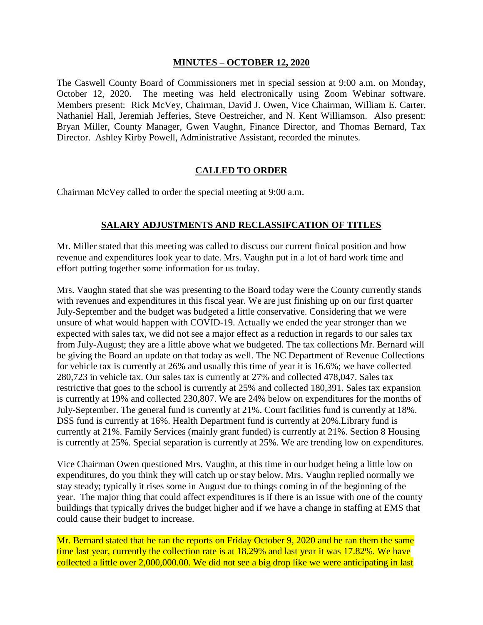## **MINUTES – OCTOBER 12, 2020**

The Caswell County Board of Commissioners met in special session at 9:00 a.m. on Monday, October 12, 2020. The meeting was held electronically using Zoom Webinar software. Members present: Rick McVey, Chairman, David J. Owen, Vice Chairman, William E. Carter, Nathaniel Hall, Jeremiah Jefferies, Steve Oestreicher, and N. Kent Williamson. Also present: Bryan Miller, County Manager, Gwen Vaughn, Finance Director, and Thomas Bernard, Tax Director. Ashley Kirby Powell, Administrative Assistant, recorded the minutes.

## **CALLED TO ORDER**

Chairman McVey called to order the special meeting at 9:00 a.m.

## **SALARY ADJUSTMENTS AND RECLASSIFCATION OF TITLES**

Mr. Miller stated that this meeting was called to discuss our current finical position and how revenue and expenditures look year to date. Mrs. Vaughn put in a lot of hard work time and effort putting together some information for us today.

Mrs. Vaughn stated that she was presenting to the Board today were the County currently stands with revenues and expenditures in this fiscal year. We are just finishing up on our first quarter July-September and the budget was budgeted a little conservative. Considering that we were unsure of what would happen with COVID-19. Actually we ended the year stronger than we expected with sales tax, we did not see a major effect as a reduction in regards to our sales tax from July-August; they are a little above what we budgeted. The tax collections Mr. Bernard will be giving the Board an update on that today as well. The NC Department of Revenue Collections for vehicle tax is currently at 26% and usually this time of year it is 16.6%; we have collected 280,723 in vehicle tax. Our sales tax is currently at 27% and collected 478,047. Sales tax restrictive that goes to the school is currently at 25% and collected 180,391. Sales tax expansion is currently at 19% and collected 230,807. We are 24% below on expenditures for the months of July-September. The general fund is currently at 21%. Court facilities fund is currently at 18%. DSS fund is currently at 16%. Health Department fund is currently at 20%.Library fund is currently at 21%. Family Services (mainly grant funded) is currently at 21%. Section 8 Housing is currently at 25%. Special separation is currently at 25%. We are trending low on expenditures.

Vice Chairman Owen questioned Mrs. Vaughn, at this time in our budget being a little low on expenditures, do you think they will catch up or stay below. Mrs. Vaughn replied normally we stay steady; typically it rises some in August due to things coming in of the beginning of the year. The major thing that could affect expenditures is if there is an issue with one of the county buildings that typically drives the budget higher and if we have a change in staffing at EMS that could cause their budget to increase.

Mr. Bernard stated that he ran the reports on Friday October 9, 2020 and he ran them the same time last year, currently the collection rate is at 18.29% and last year it was 17.82%. We have collected a little over 2,000,000.00. We did not see a big drop like we were anticipating in last